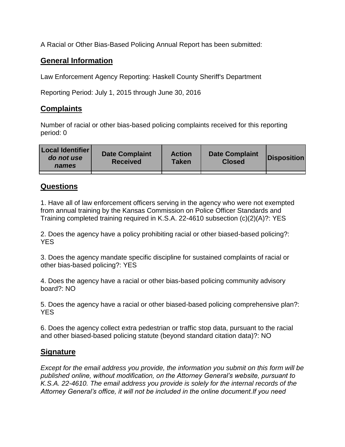A Racial or Other Bias-Based Policing Annual Report has been submitted:

## **General Information**

Law Enforcement Agency Reporting: Haskell County Sheriff's Department

Reporting Period: July 1, 2015 through June 30, 2016

## **Complaints**

Number of racial or other bias-based policing complaints received for this reporting period: 0

| <b>Local Identifier</b><br>do not use<br>names | <b>Date Complaint</b><br><b>Received</b> | <b>Action</b><br><b>Taken</b> | <b>Date Complaint</b><br><b>Closed</b> | Disposition |
|------------------------------------------------|------------------------------------------|-------------------------------|----------------------------------------|-------------|
|                                                |                                          |                               |                                        |             |

## **Questions**

1. Have all of law enforcement officers serving in the agency who were not exempted from annual training by the Kansas Commission on Police Officer Standards and Training completed training required in K.S.A. 22-4610 subsection (c)(2)(A)?: YES

2. Does the agency have a policy prohibiting racial or other biased-based policing?: YES

3. Does the agency mandate specific discipline for sustained complaints of racial or other bias-based policing?: YES

4. Does the agency have a racial or other bias-based policing community advisory board?: NO

5. Does the agency have a racial or other biased-based policing comprehensive plan?: YES

6. Does the agency collect extra pedestrian or traffic stop data, pursuant to the racial and other biased-based policing statute (beyond standard citation data)?: NO

## **Signature**

*Except for the email address you provide, the information you submit on this form will be published online, without modification, on the Attorney General's website, pursuant to K.S.A. 22-4610. The email address you provide is solely for the internal records of the Attorney General's office, it will not be included in the online document.If you need*